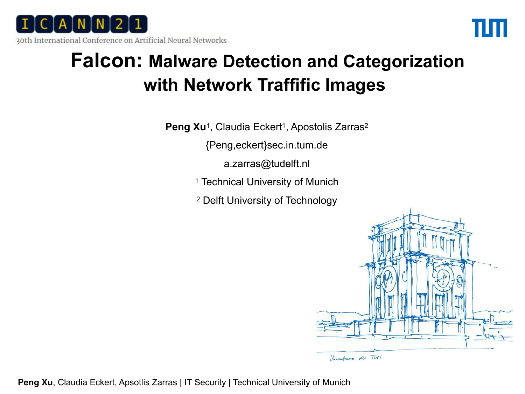



### **Falcon: Malware Detection and Categorization with Network Traffific Images**

**Peng Xu<sup>1</sup>**, Claudia Eckert<sup>1</sup>, Apostolis Zarras<sup>2</sup>

{Peng,eckert}sec.in.tum.de

a.zarras@tudelft.nl

<sup>1</sup> Technical University of Munich

<sup>2</sup> Delft University of Technology

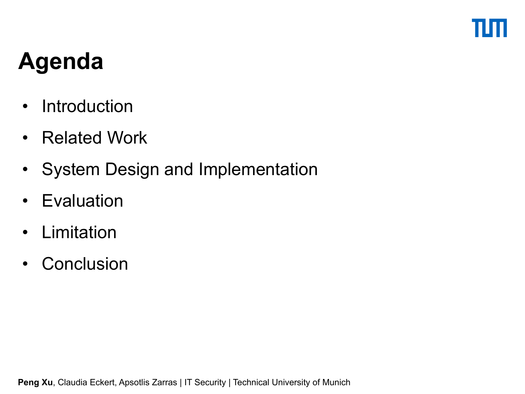# **Agenda**

- Introduction
- Related Work
- System Design and Implementation
- Evaluation
- Limitation
- Conclusion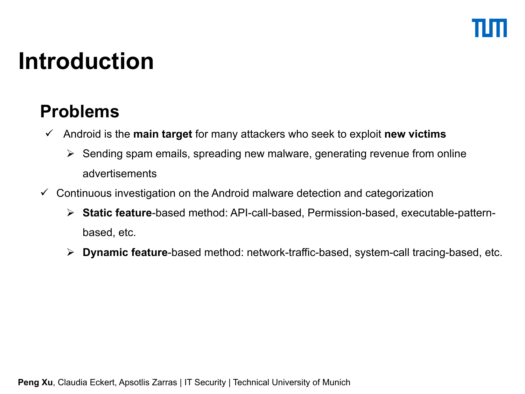## **Introduction**

### **Problems**

- Androidis the **main target** for many attackers who seek to exploit **new victims**
	- $\triangleright$  Sending spam emails, spreading new malware, generating revenue from online advertisements
- $\checkmark$  Continuous investigation on the Android malware detection and categorization
	- **Static feature**-based method: API-call-based, Permission-based, executable-pattern based, etc.
	- **Dynamic feature**-based method: network-traffic-based, system-call tracing-based, etc.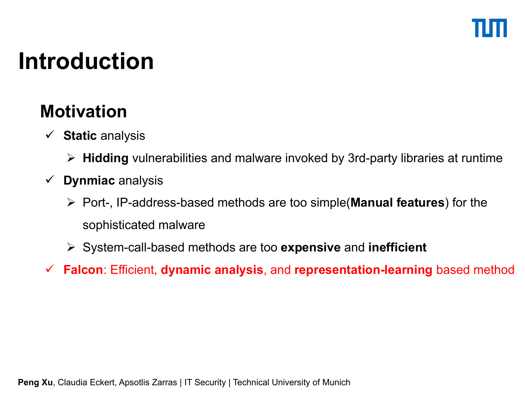## **Introduction**

### **Motivation**

- **Static** analysis
	- **Hidding** vulnerabilities and malware invoked by 3rd-party libraries at runtime
- **Dynmiac** analysis
	- Port-, IP-address-based methods are too simple(**Manual features**) for the sophisticated malware
	- System-call-based methods are too **expensive** and **inefficient**
- **Falcon**: Efficient, **dynamic analysis**, and **representation-learning** based method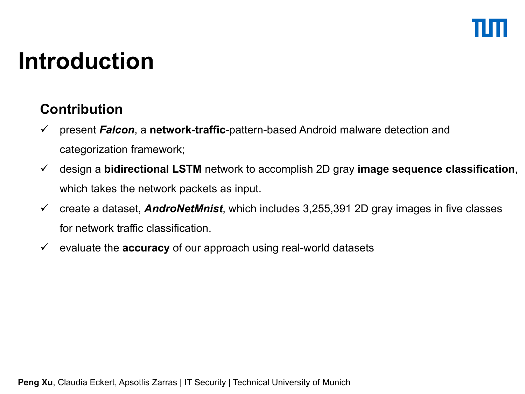# **Introduction**

### **Contribution**

- present *Falcon*, a **network-traffic**-pattern-based Android malware detection and categorization framework;
- design a **bidirectional LSTM** network to accomplish 2D gray **image sequence classification**, which takes the network packets as input.
- create a dataset, *AndroNetMnist*, which includes 3,255,391 2D gray images in five classes for network traffic classification.
- evaluate the **accuracy** of our approach using real-world datasets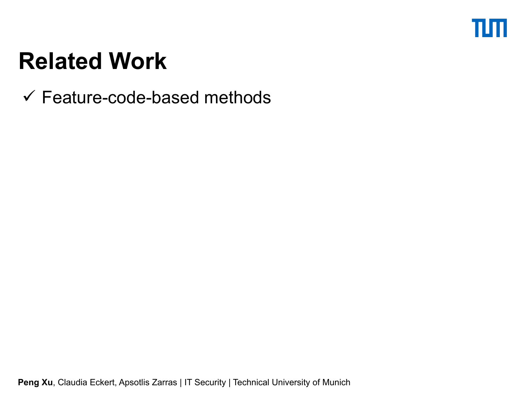### πm

# **Related Work**

 $\checkmark$  Feature-code-based methods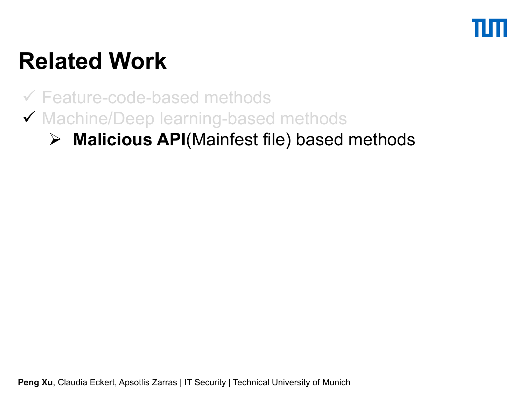

Feature-code-based methods

◆ Machine/Deep learning-based methods

### **Malicious API**(Mainfest file) based methods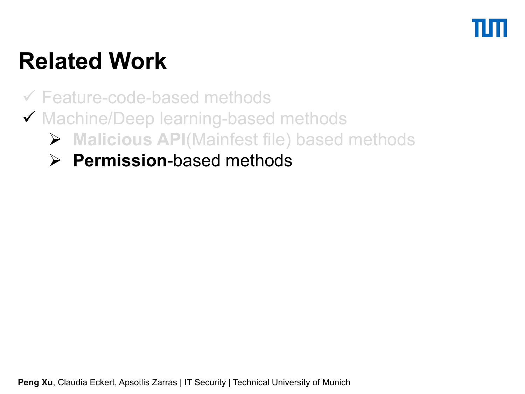Feature-code-based methods

- ◆ Machine/Deep learning-based methods
	- **Malicious API**(Mainfest file) based methods
	- **Permission**-based methods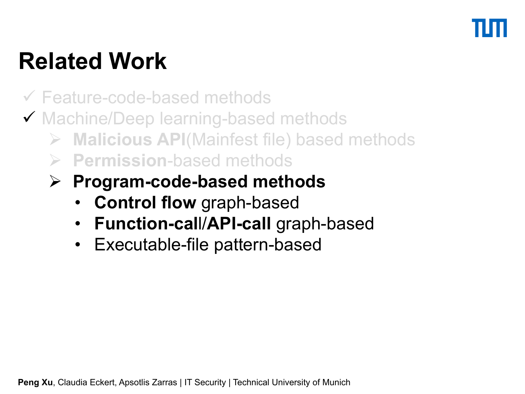Feature-code-based methods

- ◆ Machine/Deep learning-based methods
	- **Malicious API**(Mainfest file) based methods
	- **Permission**-based methods
	- **Program-code-based methods**
		- **Control flow** graph-based
		- **Function-cal**l/**API-call** graph-based
		- Executable-file pattern-based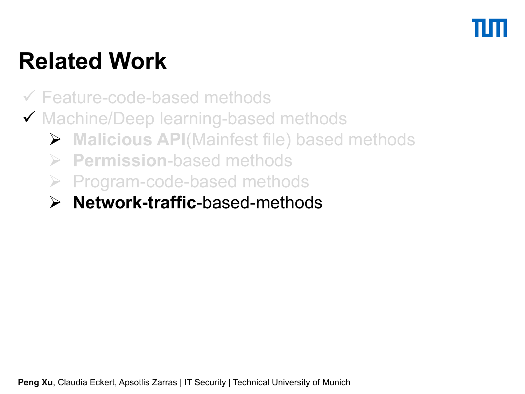- Feature-code-based methods
- ◆ Machine/Deep learning-based methods
	- **Malicious API**(Mainfest file) based methods
	- **Permission**-based methods
	- $\triangleright$  Program-code-based methods
	- **Network-traffic**-based-methods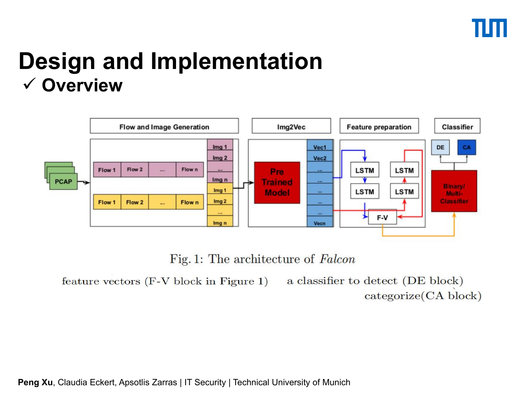### **Design and Implementation Overview**



Fig. 1: The architecture of Falcon

feature vectors (F-V block in Figure 1) a classifier to detect (DE block)  $categorical(CA block)$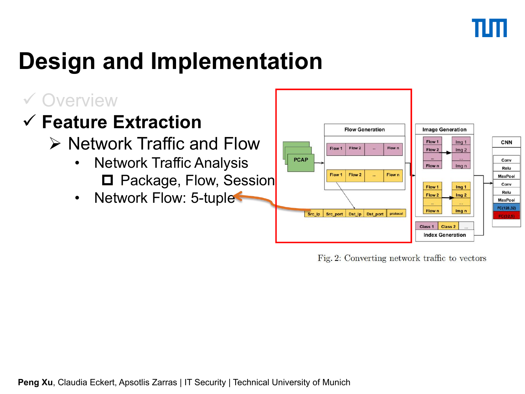### Overview

### **<del>▼ Feature</del> Extraction**

- - Network Traffic Analysis  $\begin{array}{|c|c|c|c|c|}\hline \text{``} & \text{``} & \text{``} & \text{``} & \text{``} & \text{``} & \text{``} & \text{``} & \text{``} & \text{``} & \text{``} & \text{``} & \text{``} & \text{``} & \text{``} & \text{``} & \text{``} & \text{``} & \text{``} & \text{``} & \text{``} & \text{``} & \text{``} & \text{``} & \text{``} & \text{``} & \text{``} & \text{``} & \text{``} & \$
	- Network Flow: 5-tuple



Fig. 2: Converting network traffic to vectors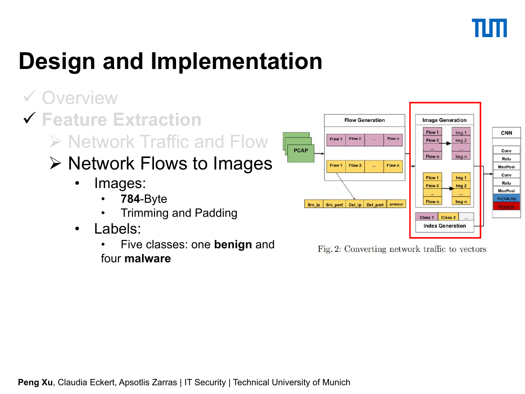### Overview

**Feature Extraction**

### $\triangleright$  Network Flows to Images  $\frac{1}{\sqrt{\frac{F_{\text{low 1}}}{F_{\text{low 2}}}} \cdot \frac{F_{\text{low n}}}{F_{\text{low n}}}}$

- Images:
	- **784**-Byte
	- Trimming and Padding
- Labels:
	- **Five classes: one benign and** Fig. 2: Converting network traffic to vectors four **malware**

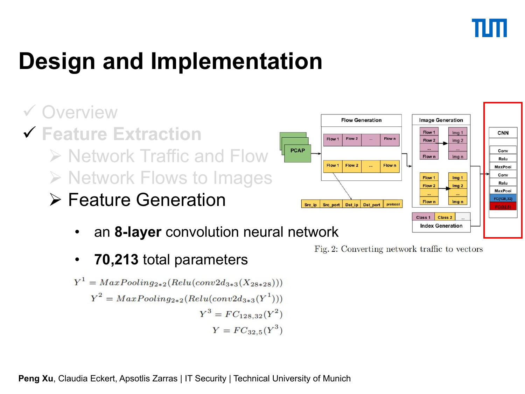Verview Flow Generation

- **Feature Extraction**  $\triangleright$  Network Traffic and Flow  $\frac{P^{cap}}{P^{1}}$ > Network Flows to Images  $\Box$ 
	- > Feature Generation Seciel Secure Dest in Dest nort | protected
		- an 8-layer convolution neural network
		- **70,213** total parameters

$$
Y^{1} = MaxPooling_{2*2}(Relu(conv2d_{3*3}(X_{28*28})))
$$
  
\n
$$
Y^{2} = MaxPooling_{2*2}(Relu(conv2d_{3*3}(Y^{1})))
$$
  
\n
$$
Y^{3} = FC_{128,32}(Y^{2})
$$
  
\n
$$
Y = FC_{32,5}(Y^{3})
$$



**Image Generation** 

Fig. 2: Converting network traffic to vectors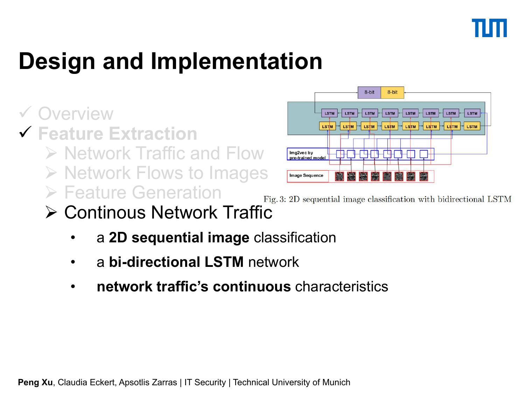- **Feature Extraction**
	- $\triangleright$  Network Traffic and Flow  $\frac{Im<sub>g</sub>2vec by <sub>g</sub> + Im<sub>g</sub> + Im<sub>g</sub> + Im<sub>g</sub> + Im<sub>g</sub> + Im<sub>g</sub> + Im<sub>g</sub> + Im<sub>g</sub> + Im<sub>g</sub> + Im<sub>g</sub> + Im<sub>g</sub> + Im<sub>g</sub> + Im<sub>g</sub> + Im<sub>g</sub> + Im<sub>g</sub> + Im<sub>g</sub> + Im<sub>g</sub> + Im<sub>g</sub> + Im<sub>g</sub> + Im$
	- > Network Flows to Images Finage sequence
	- $\triangleright$  Feature Generation  $_{Fig. 3: 2D\, sequential\, image\, classification\ with\ bidirectional\, LSTM}$



Continous Network Traffic

- a **2D sequential image** classification
- a **bi-directional LSTM** network
- **network traffic's continuous** characteristics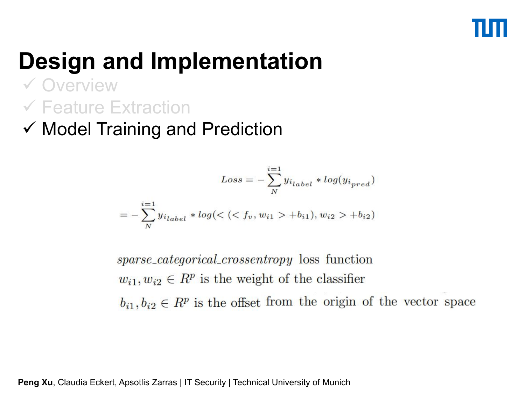### Overview Feature Extraction

 $\checkmark$  Model Training and Prediction

$$
Loss = -\sum_{N}^{i=1} y_{i_{label}} * log(y_{i_{pred}})
$$

$$
= -\sum_{N}^{i=1} y_{i_{label}} * log(<( + b_{i1}), w_{i2}> + b_{i2})
$$

*sparse\_categorical\_crossentropy* loss function  $w_{i1}, w_{i2} \in R^p$  is the weight of the classifier  $b_{i1}, b_{i2} \in R^p$  is the offset from the origin of the vector space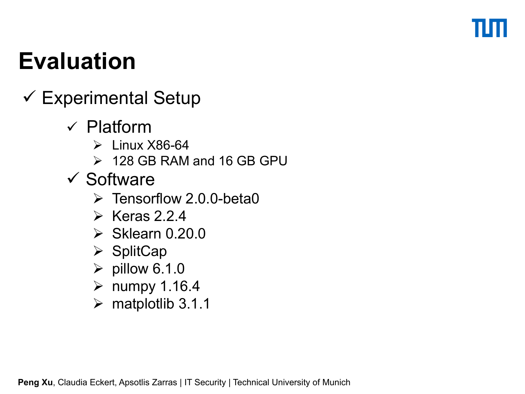- $\checkmark$  Experimental Setup
	- $\checkmark$  Platform
		- $\triangleright$  Linux X86-64
		- 128 GB RAM and 16 GB GPU
	- $\checkmark$  Software
		- $\triangleright$  Tensorflow 2.0.0-beta0
		- $\triangleright$  Keras 2.2.4
		- $\triangleright$  Sklearn 0.20.0
		- $\triangleright$  SplitCap
		- $\triangleright$  pillow 6.1.0
		- $\triangleright$  numpy 1.16.4
		- $\triangleright$  matplotlib 3.1.1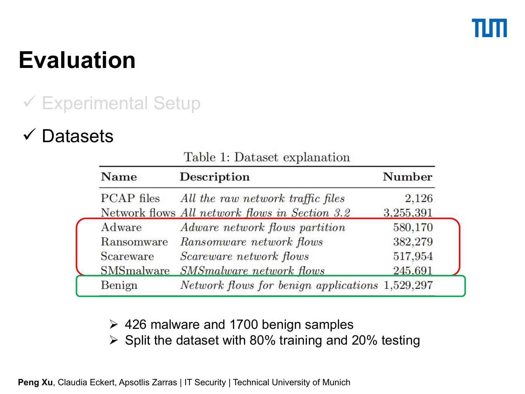### Experimental Setup

### Datasets

| <b>Name</b>       | <b>Description</b>                              | <b>Number</b> |
|-------------------|-------------------------------------------------|---------------|
| <b>PCAP</b> files | All the raw network traffic files               | 2,126         |
|                   | Network flows All network flows in Section 3.2  | 3,255,391     |
| Adware            | Adware network flows partition                  | 580,170       |
| Ransomware        | Ransomware network flows                        | 382,279       |
| Scareware         | Scareware network flows                         | 517,954       |
| SMSmalware        | <b>SMSmalware network flows</b>                 | 245,691       |
| Benign            | Network flows for benign applications 1,529,297 |               |
|                   |                                                 |               |

### Table 1: Dataset explanation

 $\geq$  426 malware and 1700 benign samples

 $\triangleright$  Split the dataset with 80% training and 20% testing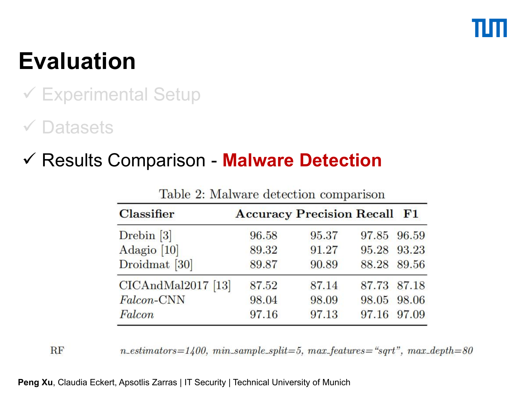### Experimental Setup

### Datasets

**RF** 

### Results Comparison - **Malware Detection**

| <b>Classifier</b>  |       | <b>Accuracy Precision Recall F1</b> |             |  |
|--------------------|-------|-------------------------------------|-------------|--|
| $D$ rebin [3]      | 96.58 | 95.37                               | 97.85 96.59 |  |
| Adagio [10]        | 89.32 | 91.27                               | 95.28 93.23 |  |
| Droidmat [30]      | 89.87 | 90.89                               | 88.28 89.56 |  |
| CICAndMal2017 [13] | 87.52 | 87.14                               | 87.73 87.18 |  |
| Falcon-CNN         | 98.04 | 98.09                               | 98.05 98.06 |  |
| Falcon             | 97.16 | 97.13                               | 97.16 97.09 |  |

Table 2: Malware detection comparison

 $n_{\text{u}} = 1400$ ,  $min_{\text{u}} = 5$ ,  $max_{\text{u}} = -\frac{400}{300}$ 

**Peng Xu, Claudia Eckert, Apsotlis Zarras | IT Security | Technical University of Munich**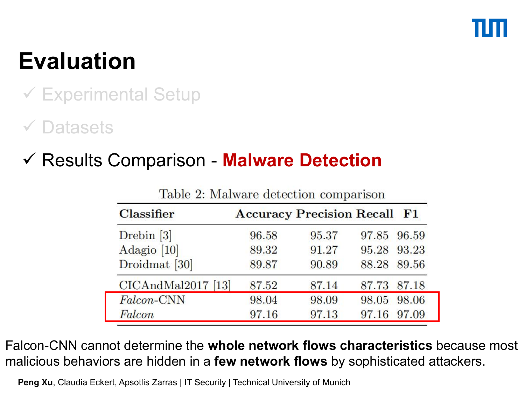### Experimental Setup

### Datasets

### Results Comparison - **Malware Detection**

| <b>Classifier</b>    |       | <b>Accuracy Precision Recall F1</b> |             |  |
|----------------------|-------|-------------------------------------|-------------|--|
| $D$ rebin [3]        | 96.58 | 95.37                               | 97.85 96.59 |  |
| Adagio [10]          | 89.32 | 91.27                               | 95.28 93.23 |  |
| Droidmat [30]        | 89.87 | 90.89                               | 88.28 89.56 |  |
| $CICAndMal2017$ [13] | 87.52 | 87.14                               | 87.73 87.18 |  |
| Falcon-CNN           | 98.04 | 98.09                               | 98.05 98.06 |  |
| Falcon               | 97.16 | 97.13                               | 97.16 97.09 |  |

Table 2: Malware detection comparison

Falcon-CNN cannot determine the **whole network flows characteristics** because most malicious behaviors are hidden in a **few network flows** by sophisticated attackers.

**Peng Xu, Claudia Eckert, Apsotlis Zarras | IT Security | Technical University of Munich**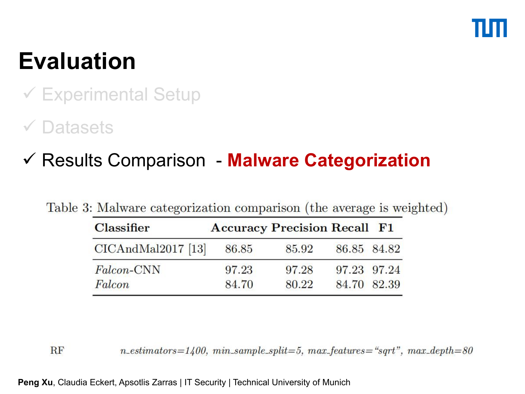### Experimental Setup

### Datasets

r

### Results Comparison - **Malware Categorization**

|  | Table 3: Malware categorization comparison (the average is weighted) |  |  |  |
|--|----------------------------------------------------------------------|--|--|--|
|--|----------------------------------------------------------------------|--|--|--|

| <b>Classifier</b>  | <b>Accuracy Precision Recall F1</b> |       |             |  |
|--------------------|-------------------------------------|-------|-------------|--|
| CICAndMal2017 [13] | 86.85                               | 85.92 | 86.85 84.82 |  |
| Falcon-CNN         | 97.23                               | 97.28 | 97.23 97.24 |  |
| Falcon             | 84.70                               | 80.22 | 84.70 82.39 |  |

 $n_{\text{u}} = 1400$ ,  $min_{\text{u}} = 5$ ,  $max_{\text{u}} = -\frac{400}{300}$ 

**Peng Xu, Claudia Eckert, Apsotlis Zarras | IT Security | Technical University of Munich** 

**RF**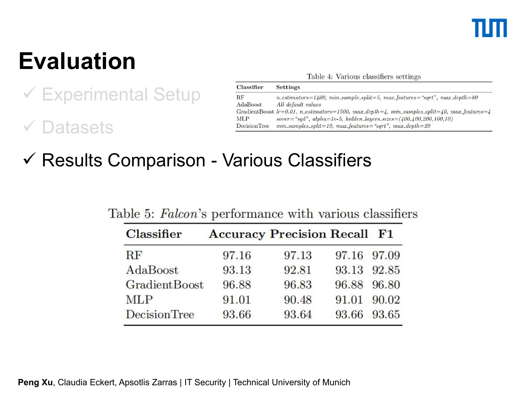# Evaluation<br>Table 4: Various classifiers settings

 Experimental Setup Datasets

| <b>Classifier</b>   | <b>Settings</b>                                                                                                            |
|---------------------|----------------------------------------------------------------------------------------------------------------------------|
| $_{\rm RF}$         | $n_{\text{u}} = 1400$ , $min_{\text{u}} = 5$ , $max_{\text{u}} = 5$ , $max_{\text{u}} =$ $*$ , $*$ , $max_{\text{u}} = 80$ |
| <b>AdaBoost</b>     | All default values                                                                                                         |
|                     | GradientBoost $lr=0.01$ , n_estimators=1500, max_depth=4, min_samples_split=40, max_features=4                             |
| <b>MLP</b>          | $sover = "sgd", alpha=1e-5, hidden-layers_size = (400, 400, 200, 100, 10)$                                                 |
| <b>DecisionTree</b> | $min\_samples\_split = 10$ , $max\_features = "sqrt", max\_depth = 20$                                                     |

Results Comparison - Various Classifiers

| <b>Classifier</b>    |       | <b>Accuracy Precision Recall F1</b> |             |       |
|----------------------|-------|-------------------------------------|-------------|-------|
| $\rm RF$             | 97.16 | 97.13                               | 97.16 97.09 |       |
| AdaBoost             | 93.13 | 92.81                               | 93.13 92.85 |       |
| <b>GradientBoost</b> | 96.88 | 96.83                               | 96.88 96.80 |       |
| <b>MLP</b>           | 91.01 | 90.48                               | 91.01       | 90.02 |
| <b>DecisionTree</b>  | 93.66 | 93.64                               | 93.66 93.65 |       |

Table 5: Falcon's performance with various classifiers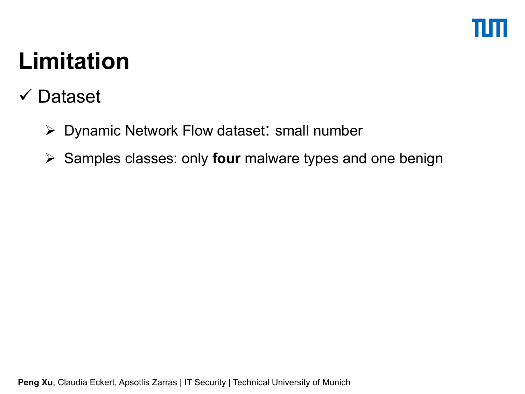# **Limitation**

- Dataset
	- $\triangleright$  Dynamic Network Flow dataset: small number
	- **► Samples classes: only four malware types and one benign**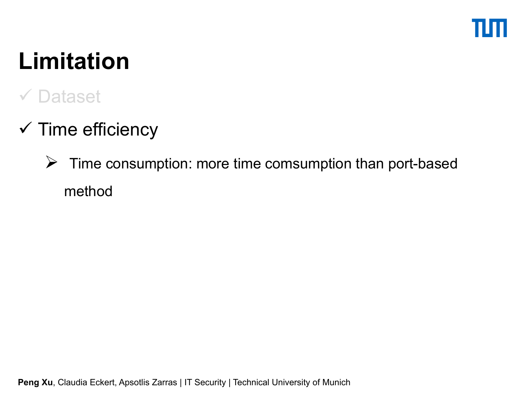# **Limitation**

### **√ Dataset**

- $\checkmark$  Time efficiency
	- $\triangleright$  Time consumption: more time comsumption than port-based method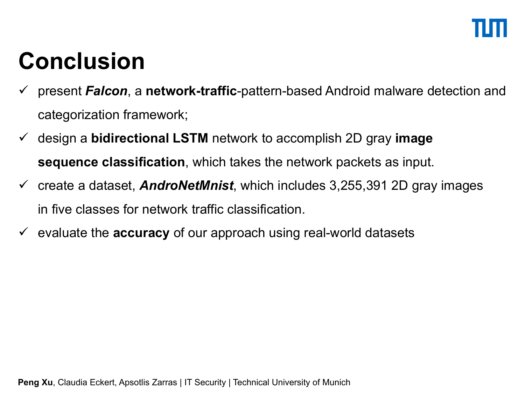# **Conclusion**

- present *Falcon*, a **network-traffic**-pattern-based Android malware detection and categorization framework;
- design a **bidirectional LSTM** network to accomplish 2D gray **image sequence classification**, which takes the network packets as input.
- $\checkmark$  create a dataset, **AndroNetMnist**, which includes 3,255,391 2D gray images in five classes for network traffic classification.
- $\checkmark$  evaluate the **accuracy** of our approach using real-world datasets